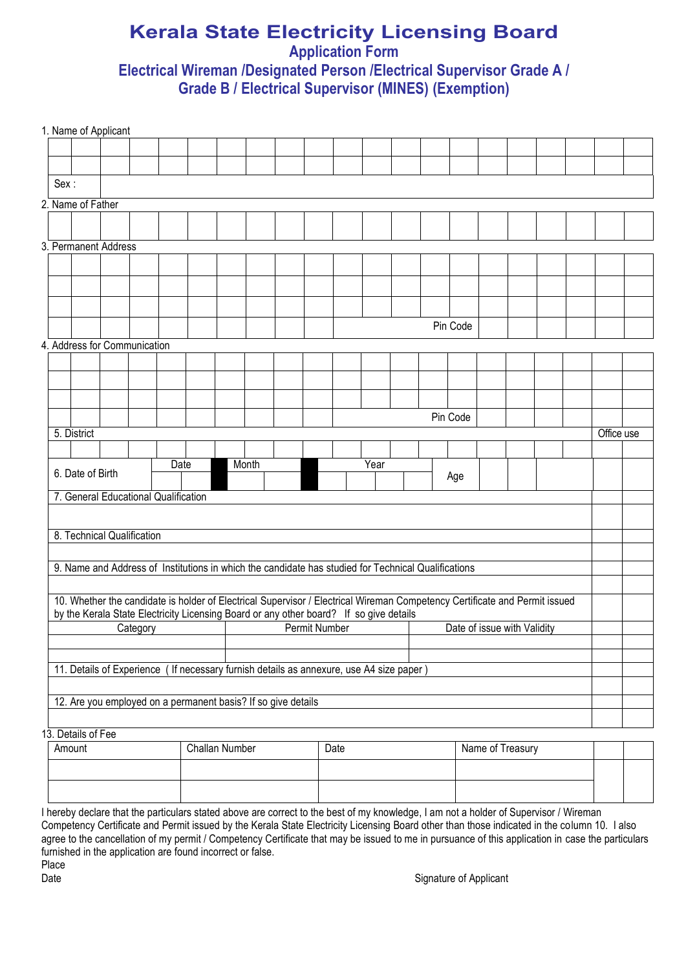## **Kerala State Electricity Licensing Board Application Form Electrical Wireman /Designated Person /Electrical Supervisor Grade A / Grade B / Electrical Supervisor (MINES) (Exemption)**

|                                                                                                                                                                                                                      | 1. Name of Applicant                                                                                |  |                                                              |       |                      |  |      |  |      |                             |          |  |                  |  |  |            |  |
|----------------------------------------------------------------------------------------------------------------------------------------------------------------------------------------------------------------------|-----------------------------------------------------------------------------------------------------|--|--------------------------------------------------------------|-------|----------------------|--|------|--|------|-----------------------------|----------|--|------------------|--|--|------------|--|
|                                                                                                                                                                                                                      |                                                                                                     |  |                                                              |       |                      |  |      |  |      |                             |          |  |                  |  |  |            |  |
|                                                                                                                                                                                                                      |                                                                                                     |  |                                                              |       |                      |  |      |  |      |                             |          |  |                  |  |  |            |  |
| Sex:                                                                                                                                                                                                                 |                                                                                                     |  |                                                              |       |                      |  |      |  |      |                             |          |  |                  |  |  |            |  |
|                                                                                                                                                                                                                      | 2. Name of Father                                                                                   |  |                                                              |       |                      |  |      |  |      |                             |          |  |                  |  |  |            |  |
|                                                                                                                                                                                                                      |                                                                                                     |  |                                                              |       |                      |  |      |  |      |                             |          |  |                  |  |  |            |  |
|                                                                                                                                                                                                                      |                                                                                                     |  |                                                              |       |                      |  |      |  |      |                             |          |  |                  |  |  |            |  |
|                                                                                                                                                                                                                      | 3. Permanent Address                                                                                |  |                                                              |       |                      |  |      |  |      |                             |          |  |                  |  |  |            |  |
|                                                                                                                                                                                                                      |                                                                                                     |  |                                                              |       |                      |  |      |  |      |                             |          |  |                  |  |  |            |  |
|                                                                                                                                                                                                                      |                                                                                                     |  |                                                              |       |                      |  |      |  |      |                             |          |  |                  |  |  |            |  |
|                                                                                                                                                                                                                      |                                                                                                     |  |                                                              |       |                      |  |      |  |      |                             |          |  |                  |  |  |            |  |
|                                                                                                                                                                                                                      |                                                                                                     |  |                                                              |       |                      |  |      |  |      |                             |          |  |                  |  |  |            |  |
|                                                                                                                                                                                                                      |                                                                                                     |  |                                                              |       |                      |  |      |  |      |                             | Pin Code |  |                  |  |  |            |  |
|                                                                                                                                                                                                                      | 4. Address for Communication                                                                        |  |                                                              |       |                      |  |      |  |      |                             |          |  |                  |  |  |            |  |
|                                                                                                                                                                                                                      |                                                                                                     |  |                                                              |       |                      |  |      |  |      |                             |          |  |                  |  |  |            |  |
|                                                                                                                                                                                                                      |                                                                                                     |  |                                                              |       |                      |  |      |  |      |                             |          |  |                  |  |  |            |  |
|                                                                                                                                                                                                                      |                                                                                                     |  |                                                              |       |                      |  |      |  |      |                             |          |  |                  |  |  |            |  |
|                                                                                                                                                                                                                      |                                                                                                     |  |                                                              |       |                      |  |      |  |      |                             | Pin Code |  |                  |  |  |            |  |
|                                                                                                                                                                                                                      | 5. District                                                                                         |  |                                                              |       |                      |  |      |  |      |                             |          |  |                  |  |  | Office use |  |
|                                                                                                                                                                                                                      |                                                                                                     |  |                                                              |       |                      |  |      |  |      |                             |          |  |                  |  |  |            |  |
|                                                                                                                                                                                                                      |                                                                                                     |  | Date                                                         | Month |                      |  |      |  | Year |                             |          |  |                  |  |  |            |  |
|                                                                                                                                                                                                                      | 6. Date of Birth                                                                                    |  |                                                              |       |                      |  |      |  |      |                             | Age      |  |                  |  |  |            |  |
|                                                                                                                                                                                                                      | 7. General Educational Qualification                                                                |  |                                                              |       |                      |  |      |  |      |                             |          |  |                  |  |  |            |  |
|                                                                                                                                                                                                                      |                                                                                                     |  |                                                              |       |                      |  |      |  |      |                             |          |  |                  |  |  |            |  |
|                                                                                                                                                                                                                      | 8. Technical Qualification                                                                          |  |                                                              |       |                      |  |      |  |      |                             |          |  |                  |  |  |            |  |
|                                                                                                                                                                                                                      |                                                                                                     |  |                                                              |       |                      |  |      |  |      |                             |          |  |                  |  |  |            |  |
|                                                                                                                                                                                                                      | 9. Name and Address of Institutions in which the candidate has studied for Technical Qualifications |  |                                                              |       |                      |  |      |  |      |                             |          |  |                  |  |  |            |  |
|                                                                                                                                                                                                                      |                                                                                                     |  |                                                              |       |                      |  |      |  |      |                             |          |  |                  |  |  |            |  |
|                                                                                                                                                                                                                      |                                                                                                     |  |                                                              |       |                      |  |      |  |      |                             |          |  |                  |  |  |            |  |
| 10. Whether the candidate is holder of Electrical Supervisor / Electrical Wireman Competency Certificate and Permit issued<br>by the Kerala State Electricity Licensing Board or any other board? If so give details |                                                                                                     |  |                                                              |       |                      |  |      |  |      |                             |          |  |                  |  |  |            |  |
|                                                                                                                                                                                                                      | Category                                                                                            |  |                                                              |       | <b>Permit Number</b> |  |      |  |      | Date of issue with Validity |          |  |                  |  |  |            |  |
|                                                                                                                                                                                                                      |                                                                                                     |  |                                                              |       |                      |  |      |  |      |                             |          |  |                  |  |  |            |  |
|                                                                                                                                                                                                                      | 11. Details of Experience                                                                           |  | If necessary furnish details as annexure, use A4 size paper) |       |                      |  |      |  |      |                             |          |  |                  |  |  |            |  |
|                                                                                                                                                                                                                      |                                                                                                     |  |                                                              |       |                      |  |      |  |      |                             |          |  |                  |  |  |            |  |
| 12. Are you employed on a permanent basis? If so give details                                                                                                                                                        |                                                                                                     |  |                                                              |       |                      |  |      |  |      |                             |          |  |                  |  |  |            |  |
|                                                                                                                                                                                                                      |                                                                                                     |  |                                                              |       |                      |  |      |  |      |                             |          |  |                  |  |  |            |  |
|                                                                                                                                                                                                                      |                                                                                                     |  |                                                              |       |                      |  |      |  |      |                             |          |  |                  |  |  |            |  |
|                                                                                                                                                                                                                      |                                                                                                     |  |                                                              |       |                      |  |      |  |      |                             |          |  |                  |  |  |            |  |
|                                                                                                                                                                                                                      | 13. Details of Fee<br>Amount                                                                        |  | <b>Challan Number</b>                                        |       |                      |  | Date |  |      |                             |          |  | Name of Treasury |  |  |            |  |
|                                                                                                                                                                                                                      |                                                                                                     |  |                                                              |       |                      |  |      |  |      |                             |          |  |                  |  |  |            |  |

I hereby declare that the particulars stated above are correct to the best of my knowledge, I am not a holder of Supervisor / Wireman Competency Certificate and Permit issued by the Kerala State Electricity Licensing Board other than those indicated in the column 10. I also agree to the cancellation of my permit / Competency Certificate that may be issued to me in pursuance of this application in case the particulars furnished in the application are found incorrect or false. Place Date Signature of Applicant